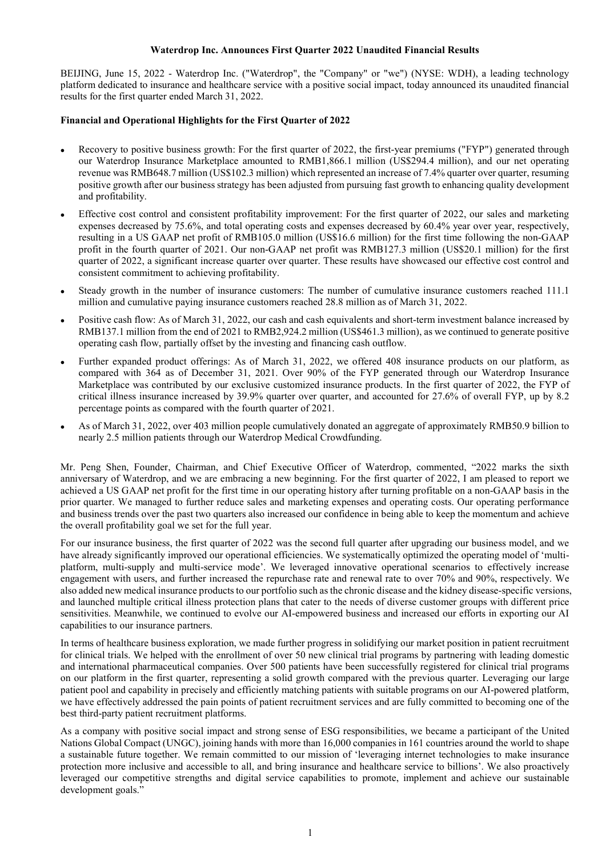## Waterdrop Inc. Announces First Quarter 2022 Unaudited Financial Results

BEIJING, June 15, 2022 - Waterdrop Inc. ("Waterdrop", the "Company" or "we") (NYSE: WDH), a leading technology platform dedicated to insurance and healthcare service with a positive social impact, today announced its unaudited financial results for the first quarter ended March 31, 2022.

# Financial and Operational Highlights for the First Quarter of 2022

- Recovery to positive business growth: For the first quarter of 2022, the first-year premiums ("FYP") generated through our Waterdrop Insurance Marketplace amounted to RMB1,866.1 million (US\$294.4 million), and our net operating revenue was RMB648.7 million (US\$102.3 million) which represented an increase of 7.4% quarter over quarter, resuming positive growth after our business strategy has been adjusted from pursuing fast growth to enhancing quality development and profitability.
- Effective cost control and consistent profitability improvement: For the first quarter of 2022, our sales and marketing expenses decreased by 75.6%, and total operating costs and expenses decreased by 60.4% year over year, respectively, resulting in a US GAAP net profit of RMB105.0 million (US\$16.6 million) for the first time following the non-GAAP profit in the fourth quarter of 2021. Our non-GAAP net profit was RMB127.3 million (US\$20.1 million) for the first quarter of 2022, a significant increase quarter over quarter. These results have showcased our effective cost control and consistent commitment to achieving profitability.
- Steady growth in the number of insurance customers: The number of cumulative insurance customers reached 111.1 million and cumulative paying insurance customers reached 28.8 million as of March 31, 2022.
- Positive cash flow: As of March 31, 2022, our cash and cash equivalents and short-term investment balance increased by RMB137.1 million from the end of 2021 to RMB2,924.2 million (US\$461.3 million), as we continued to generate positive operating cash flow, partially offset by the investing and financing cash outflow.
- Further expanded product offerings: As of March 31, 2022, we offered 408 insurance products on our platform, as compared with 364 as of December 31, 2021. Over 90% of the FYP generated through our Waterdrop Insurance Marketplace was contributed by our exclusive customized insurance products. In the first quarter of 2022, the FYP of critical illness insurance increased by 39.9% quarter over quarter, and accounted for 27.6% of overall FYP, up by 8.2 percentage points as compared with the fourth quarter of 2021.
- As of March 31, 2022, over 403 million people cumulatively donated an aggregate of approximately RMB50.9 billion to nearly 2.5 million patients through our Waterdrop Medical Crowdfunding.

Mr. Peng Shen, Founder, Chairman, and Chief Executive Officer of Waterdrop, commented, "2022 marks the sixth anniversary of Waterdrop, and we are embracing a new beginning. For the first quarter of 2022, I am pleased to report we achieved a US GAAP net profit for the first time in our operating history after turning profitable on a non-GAAP basis in the prior quarter. We managed to further reduce sales and marketing expenses and operating costs. Our operating performance and business trends over the past two quarters also increased our confidence in being able to keep the momentum and achieve the overall profitability goal we set for the full year.

For our insurance business, the first quarter of 2022 was the second full quarter after upgrading our business model, and we have already significantly improved our operational efficiencies. We systematically optimized the operating model of 'multiplatform, multi-supply and multi-service mode'. We leveraged innovative operational scenarios to effectively increase engagement with users, and further increased the repurchase rate and renewal rate to over 70% and 90%, respectively. We also added new medical insurance products to our portfolio such as the chronic disease and the kidney disease-specific versions, and launched multiple critical illness protection plans that cater to the needs of diverse customer groups with different price sensitivities. Meanwhile, we continued to evolve our AI-empowered business and increased our efforts in exporting our AI capabilities to our insurance partners.

In terms of healthcare business exploration, we made further progress in solidifying our market position in patient recruitment for clinical trials. We helped with the enrollment of over 50 new clinical trial programs by partnering with leading domestic and international pharmaceutical companies. Over 500 patients have been successfully registered for clinical trial programs on our platform in the first quarter, representing a solid growth compared with the previous quarter. Leveraging our large patient pool and capability in precisely and efficiently matching patients with suitable programs on our AI-powered platform, we have effectively addressed the pain points of patient recruitment services and are fully committed to becoming one of the best third-party patient recruitment platforms.

As a company with positive social impact and strong sense of ESG responsibilities, we became a participant of the United Nations Global Compact (UNGC), joining hands with more than 16,000 companies in 161 countries around the world to shape a sustainable future together. We remain committed to our mission of 'leveraging internet technologies to make insurance protection more inclusive and accessible to all, and bring insurance and healthcare service to billions'. We also proactively leveraged our competitive strengths and digital service capabilities to promote, implement and achieve our sustainable development goals."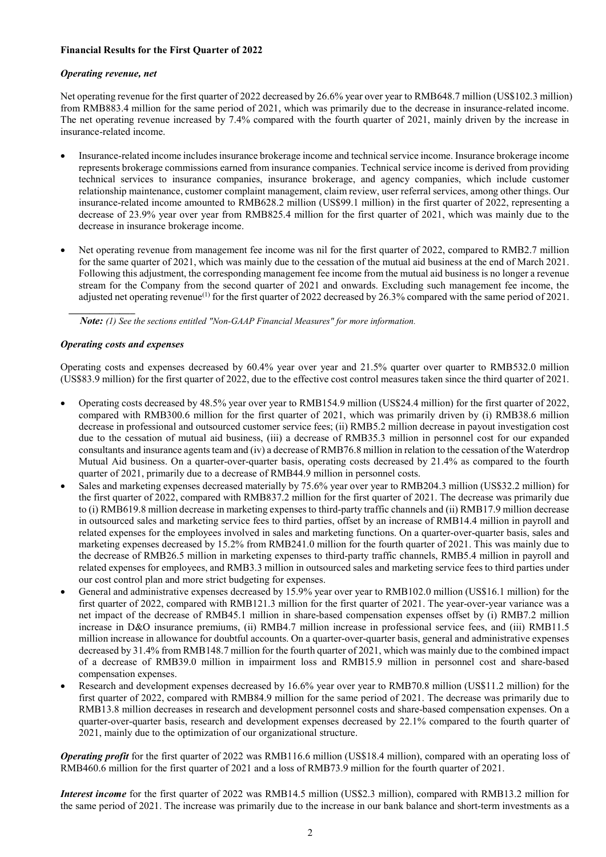# Financial Results for the First Quarter of 2022

# Operating revenue, net

Net operating revenue for the first quarter of 2022 decreased by 26.6% year over year to RMB648.7 million (US\$102.3 million) from RMB883.4 million for the same period of 2021, which was primarily due to the decrease in insurance-related income. The net operating revenue increased by 7.4% compared with the fourth quarter of 2021, mainly driven by the increase in insurance-related income.

- Insurance-related income includes insurance brokerage income and technical service income. Insurance brokerage income represents brokerage commissions earned from insurance companies. Technical service income is derived from providing technical services to insurance companies, insurance brokerage, and agency companies, which include customer relationship maintenance, customer complaint management, claim review, user referral services, among other things. Our insurance-related income amounted to RMB628.2 million (US\$99.1 million) in the first quarter of 2022, representing a decrease of 23.9% year over year from RMB825.4 million for the first quarter of 2021, which was mainly due to the decrease in insurance brokerage income.
- Net operating revenue from management fee income was nil for the first quarter of 2022, compared to RMB2.7 million for the same quarter of 2021, which was mainly due to the cessation of the mutual aid business at the end of March 2021. Following this adjustment, the corresponding management fee income from the mutual aid business is no longer a revenue stream for the Company from the second quarter of 2021 and onwards. Excluding such management fee income, the adjusted net operating revenue<sup>(1)</sup> for the first quarter of 2022 decreased by 26.3% compared with the same period of 2021.

Note: (1) See the sections entitled "Non-GAAP Financial Measures" for more information.

# Operating costs and expenses

 $\mathcal{L}_\text{max}$ 

Operating costs and expenses decreased by 60.4% year over year and 21.5% quarter over quarter to RMB532.0 million (US\$83.9 million) for the first quarter of 2022, due to the effective cost control measures taken since the third quarter of 2021.

- Operating costs decreased by 48.5% year over year to RMB154.9 million (US\$24.4 million) for the first quarter of 2022, compared with RMB300.6 million for the first quarter of 2021, which was primarily driven by (i) RMB38.6 million decrease in professional and outsourced customer service fees; (ii) RMB5.2 million decrease in payout investigation cost due to the cessation of mutual aid business, (iii) a decrease of RMB35.3 million in personnel cost for our expanded consultants and insurance agents team and (iv) a decrease of RMB76.8 million in relation to the cessation of the Waterdrop Mutual Aid business. On a quarter-over-quarter basis, operating costs decreased by 21.4% as compared to the fourth quarter of 2021, primarily due to a decrease of RMB44.9 million in personnel costs.
- Sales and marketing expenses decreased materially by 75.6% year over year to RMB204.3 million (US\$32.2 million) for the first quarter of 2022, compared with RMB837.2 million for the first quarter of 2021. The decrease was primarily due to (i) RMB619.8 million decrease in marketing expenses to third-party traffic channels and (ii) RMB17.9 million decrease in outsourced sales and marketing service fees to third parties, offset by an increase of RMB14.4 million in payroll and related expenses for the employees involved in sales and marketing functions. On a quarter-over-quarter basis, sales and marketing expenses decreased by 15.2% from RMB241.0 million for the fourth quarter of 2021. This was mainly due to the decrease of RMB26.5 million in marketing expenses to third-party traffic channels, RMB5.4 million in payroll and related expenses for employees, and RMB3.3 million in outsourced sales and marketing service fees to third parties under our cost control plan and more strict budgeting for expenses.
- General and administrative expenses decreased by 15.9% year over year to RMB102.0 million (US\$16.1 million) for the first quarter of 2022, compared with RMB121.3 million for the first quarter of 2021. The year-over-year variance was a net impact of the decrease of RMB45.1 million in share-based compensation expenses offset by (i) RMB7.2 million increase in D&O insurance premiums, (ii) RMB4.7 million increase in professional service fees, and (iii) RMB11.5 million increase in allowance for doubtful accounts. On a quarter-over-quarter basis, general and administrative expenses decreased by 31.4% from RMB148.7 million for the fourth quarter of 2021, which was mainly due to the combined impact of a decrease of RMB39.0 million in impairment loss and RMB15.9 million in personnel cost and share-based compensation expenses.
- Research and development expenses decreased by 16.6% year over year to RMB70.8 million (US\$11.2 million) for the first quarter of 2022, compared with RMB84.9 million for the same period of 2021. The decrease was primarily due to RMB13.8 million decreases in research and development personnel costs and share-based compensation expenses. On a quarter-over-quarter basis, research and development expenses decreased by 22.1% compared to the fourth quarter of 2021, mainly due to the optimization of our organizational structure.

Operating profit for the first quarter of 2022 was RMB116.6 million (US\$18.4 million), compared with an operating loss of RMB460.6 million for the first quarter of 2021 and a loss of RMB73.9 million for the fourth quarter of 2021.

Interest income for the first quarter of 2022 was RMB14.5 million (US\$2.3 million), compared with RMB13.2 million for the same period of 2021. The increase was primarily due to the increase in our bank balance and short-term investments as a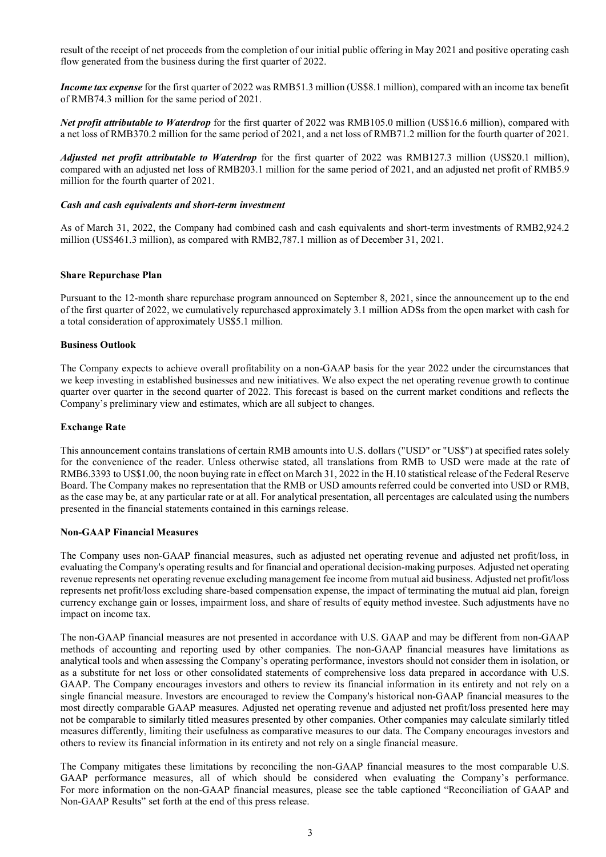result of the receipt of net proceeds from the completion of our initial public offering in May 2021 and positive operating cash flow generated from the business during the first quarter of 2022.

**Income tax expense** for the first quarter of 2022 was RMB51.3 million (US\$8.1 million), compared with an income tax benefit of RMB74.3 million for the same period of 2021.

Net profit attributable to Waterdrop for the first quarter of 2022 was RMB105.0 million (US\$16.6 million), compared with a net loss of RMB370.2 million for the same period of 2021, and a net loss of RMB71.2 million for the fourth quarter of 2021.

Adjusted net profit attributable to Waterdrop for the first quarter of 2022 was RMB127.3 million (US\$20.1 million), compared with an adjusted net loss of RMB203.1 million for the same period of 2021, and an adjusted net profit of RMB5.9 million for the fourth quarter of 2021.

### Cash and cash equivalents and short-term investment

As of March 31, 2022, the Company had combined cash and cash equivalents and short-term investments of RMB2,924.2 million (US\$461.3 million), as compared with RMB2,787.1 million as of December 31, 2021.

### Share Repurchase Plan

Pursuant to the 12-month share repurchase program announced on September 8, 2021, since the announcement up to the end of the first quarter of 2022, we cumulatively repurchased approximately 3.1 million ADSs from the open market with cash for a total consideration of approximately US\$5.1 million.

### Business Outlook

The Company expects to achieve overall profitability on a non-GAAP basis for the year 2022 under the circumstances that we keep investing in established businesses and new initiatives. We also expect the net operating revenue growth to continue quarter over quarter in the second quarter of 2022. This forecast is based on the current market conditions and reflects the Company's preliminary view and estimates, which are all subject to changes.

### Exchange Rate

This announcement contains translations of certain RMB amounts into U.S. dollars ("USD" or "US\$") at specified rates solely for the convenience of the reader. Unless otherwise stated, all translations from RMB to USD were made at the rate of RMB6.3393 to US\$1.00, the noon buying rate in effect on March 31, 2022 in the H.10 statistical release of the Federal Reserve Board. The Company makes no representation that the RMB or USD amounts referred could be converted into USD or RMB, as the case may be, at any particular rate or at all. For analytical presentation, all percentages are calculated using the numbers presented in the financial statements contained in this earnings release.

### Non-GAAP Financial Measures

The Company uses non-GAAP financial measures, such as adjusted net operating revenue and adjusted net profit/loss, in evaluating the Company's operating results and for financial and operational decision-making purposes. Adjusted net operating revenue represents net operating revenue excluding management fee income from mutual aid business. Adjusted net profit/loss represents net profit/loss excluding share-based compensation expense, the impact of terminating the mutual aid plan, foreign currency exchange gain or losses, impairment loss, and share of results of equity method investee. Such adjustments have no impact on income tax.

The non-GAAP financial measures are not presented in accordance with U.S. GAAP and may be different from non-GAAP methods of accounting and reporting used by other companies. The non-GAAP financial measures have limitations as analytical tools and when assessing the Company's operating performance, investors should not consider them in isolation, or as a substitute for net loss or other consolidated statements of comprehensive loss data prepared in accordance with U.S. GAAP. The Company encourages investors and others to review its financial information in its entirety and not rely on a single financial measure. Investors are encouraged to review the Company's historical non-GAAP financial measures to the most directly comparable GAAP measures. Adjusted net operating revenue and adjusted net profit/loss presented here may not be comparable to similarly titled measures presented by other companies. Other companies may calculate similarly titled measures differently, limiting their usefulness as comparative measures to our data. The Company encourages investors and others to review its financial information in its entirety and not rely on a single financial measure.

The Company mitigates these limitations by reconciling the non-GAAP financial measures to the most comparable U.S. GAAP performance measures, all of which should be considered when evaluating the Company's performance. For more information on the non-GAAP financial measures, please see the table captioned "Reconciliation of GAAP and Non-GAAP Results" set forth at the end of this press release.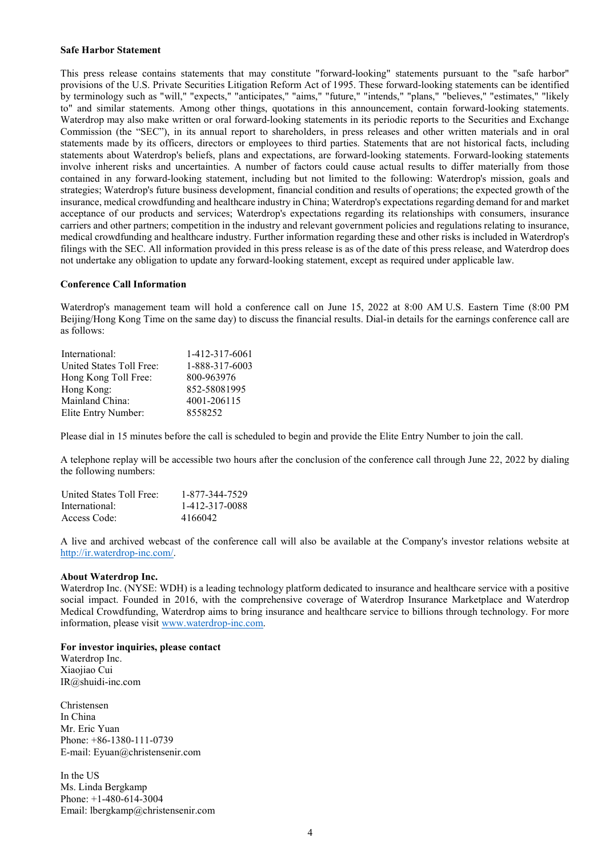### Safe Harbor Statement

This press release contains statements that may constitute "forward-looking" statements pursuant to the "safe harbor" provisions of the U.S. Private Securities Litigation Reform Act of 1995. These forward-looking statements can be identified by terminology such as "will," "expects," "anticipates," "aims," "future," "intends," "plans," "believes," "estimates," "likely to" and similar statements. Among other things, quotations in this announcement, contain forward-looking statements. Waterdrop may also make written or oral forward-looking statements in its periodic reports to the Securities and Exchange Commission (the "SEC"), in its annual report to shareholders, in press releases and other written materials and in oral statements made by its officers, directors or employees to third parties. Statements that are not historical facts, including statements about Waterdrop's beliefs, plans and expectations, are forward-looking statements. Forward-looking statements involve inherent risks and uncertainties. A number of factors could cause actual results to differ materially from those contained in any forward-looking statement, including but not limited to the following: Waterdrop's mission, goals and strategies; Waterdrop's future business development, financial condition and results of operations; the expected growth of the insurance, medical crowdfunding and healthcare industry in China; Waterdrop's expectations regarding demand for and market acceptance of our products and services; Waterdrop's expectations regarding its relationships with consumers, insurance carriers and other partners; competition in the industry and relevant government policies and regulations relating to insurance, medical crowdfunding and healthcare industry. Further information regarding these and other risks is included in Waterdrop's filings with the SEC. All information provided in this press release is as of the date of this press release, and Waterdrop does not undertake any obligation to update any forward-looking statement, except as required under applicable law.

### Conference Call Information

Waterdrop's management team will hold a conference call on June 15, 2022 at 8:00 AM U.S. Eastern Time (8:00 PM Beijing/Hong Kong Time on the same day) to discuss the financial results. Dial-in details for the earnings conference call are as follows:

| International:           | 1-412-317-6061 |
|--------------------------|----------------|
| United States Toll Free: | 1-888-317-6003 |
| Hong Kong Toll Free:     | 800-963976     |
| Hong Kong:               | 852-58081995   |
| Mainland China:          | 4001-206115    |
| Elite Entry Number:      | 8558252        |

Please dial in 15 minutes before the call is scheduled to begin and provide the Elite Entry Number to join the call.

A telephone replay will be accessible two hours after the conclusion of the conference call through June 22, 2022 by dialing the following numbers:

| United States Toll Free: | 1-877-344-7529 |
|--------------------------|----------------|
| International:           | 1-412-317-0088 |
| Access Code:             | 4166042        |

A live and archived webcast of the conference call will also be available at the Company's investor relations website at http://ir.waterdrop-inc.com/.

#### About Waterdrop Inc.

Waterdrop Inc. (NYSE: WDH) is a leading technology platform dedicated to insurance and healthcare service with a positive social impact. Founded in 2016, with the comprehensive coverage of Waterdrop Insurance Marketplace and Waterdrop Medical Crowdfunding, Waterdrop aims to bring insurance and healthcare service to billions through technology. For more information, please visit www.waterdrop-inc.com.

#### For investor inquiries, please contact

Waterdrop Inc. Xiaojiao Cui IR@shuidi-inc.com

Christensen In China Mr. Eric Yuan Phone: +86-1380-111-0739 E-mail: Eyuan@christensenir.com

In the US Ms. Linda Bergkamp Phone: +1-480-614-3004 Email: lbergkamp@christensenir.com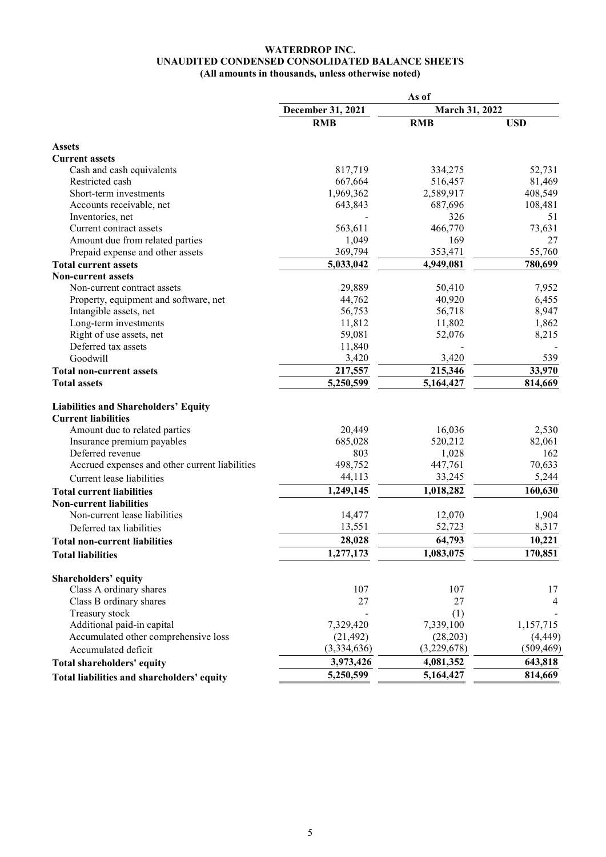# WATERDROP INC. UNAUDITED CONDENSED CONSOLIDATED BALANCE SHEETS (All amounts in thousands, unless otherwise noted)

|                                                | As of             |                |            |  |
|------------------------------------------------|-------------------|----------------|------------|--|
|                                                | December 31, 2021 | March 31, 2022 |            |  |
|                                                | <b>RMB</b>        | <b>RMB</b>     | <b>USD</b> |  |
| <b>Assets</b>                                  |                   |                |            |  |
| <b>Current assets</b>                          |                   |                |            |  |
| Cash and cash equivalents                      | 817,719           | 334,275        | 52,731     |  |
| Restricted cash                                | 667,664           | 516,457        | 81,469     |  |
| Short-term investments                         | 1,969,362         | 2,589,917      | 408,549    |  |
| Accounts receivable, net                       | 643,843           | 687,696        | 108,481    |  |
| Inventories, net                               |                   | 326            | 51         |  |
| Current contract assets                        | 563,611           | 466,770        | 73,631     |  |
| Amount due from related parties                | 1,049             | 169            | 27         |  |
| Prepaid expense and other assets               | 369,794           | 353,471        | 55,760     |  |
| <b>Total current assets</b>                    | 5,033,042         | 4,949,081      | 780,699    |  |
| <b>Non-current assets</b>                      |                   |                |            |  |
| Non-current contract assets                    | 29,889            | 50,410         | 7,952      |  |
| Property, equipment and software, net          | 44,762            | 40,920         | 6,455      |  |
| Intangible assets, net                         | 56,753            | 56,718         | 8,947      |  |
| Long-term investments                          | 11,812            | 11,802         | 1,862      |  |
| Right of use assets, net                       | 59,081            | 52,076         | 8,215      |  |
| Deferred tax assets                            | 11,840            |                |            |  |
| Goodwill                                       | 3,420             | 3,420          | 539        |  |
| <b>Total non-current assets</b>                | 217,557           | 215,346        | 33,970     |  |
| <b>Total assets</b>                            | 5,250,599         | 5,164,427      | 814,669    |  |
| <b>Liabilities and Shareholders' Equity</b>    |                   |                |            |  |
| <b>Current liabilities</b>                     |                   |                |            |  |
| Amount due to related parties                  | 20,449            | 16,036         | 2,530      |  |
| Insurance premium payables                     | 685,028           | 520,212        | 82,061     |  |
| Deferred revenue                               | 803               | 1,028          | 162        |  |
| Accrued expenses and other current liabilities | 498,752           | 447,761        | 70,633     |  |
| Current lease liabilities                      | 44,113            | 33,245         | 5,244      |  |
| <b>Total current liabilities</b>               | 1,249,145         | 1,018,282      | 160,630    |  |
| <b>Non-current liabilities</b>                 |                   |                |            |  |
| Non-current lease liabilities                  | 14,477            | 12,070         | 1,904      |  |
| Deferred tax liabilities                       | 13,551            | 52,723         | 8,317      |  |
| <b>Total non-current liabilities</b>           | 28,028            | 64,793         | 10,221     |  |
| <b>Total liabilities</b>                       | 1,277,173         | 1,083,075      | 170,851    |  |
| Shareholders' equity                           |                   |                |            |  |
| Class A ordinary shares                        | 107               | 107            | 17         |  |
| Class B ordinary shares                        | 27                | 27             | 4          |  |
| Treasury stock                                 |                   | (1)            |            |  |
| Additional paid-in capital                     | 7,329,420         | 7,339,100      | 1,157,715  |  |
| Accumulated other comprehensive loss           | (21, 492)         | (28, 203)      | (4, 449)   |  |
| Accumulated deficit                            | (3,334,636)       | (3,229,678)    | (509, 469) |  |
| Total shareholders' equity                     | 3,973,426         | 4,081,352      | 643,818    |  |
| Total liabilities and shareholders' equity     | 5,250,599         | 5,164,427      | 814,669    |  |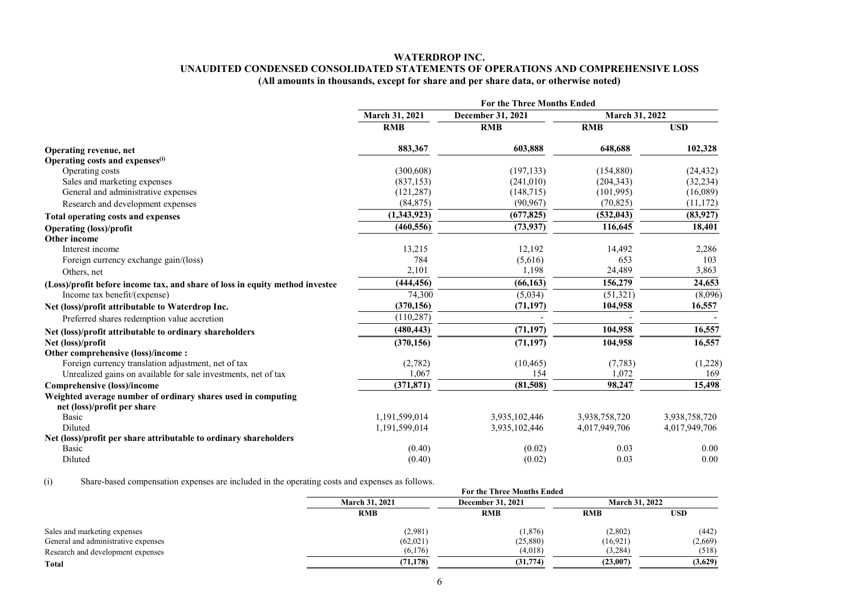# WATERDROP INC. UNAUDITED CONDENSED CONSOLIDATED STATEMENTS OF OPERATIONS AND COMPREHENSIVE LOSS (All amounts in thousands, except for share and per share data, or otherwise noted)

|                                                                              | <b>For the Three Months Ended</b> |                   |               |                |
|------------------------------------------------------------------------------|-----------------------------------|-------------------|---------------|----------------|
|                                                                              | March 31, 2021                    | December 31, 2021 |               | March 31, 2022 |
|                                                                              | <b>RMB</b>                        | <b>RMB</b>        | <b>RMB</b>    | <b>USD</b>     |
| Operating revenue, net                                                       | 883,367                           | 603,888           | 648,688       | 102,328        |
| Operating costs and expenses <sup>(i)</sup>                                  |                                   |                   |               |                |
| Operating costs                                                              | (300, 608)                        | (197, 133)        | (154,880)     | (24, 432)      |
| Sales and marketing expenses                                                 | (837, 153)                        | (241,010)         | (204, 343)    | (32, 234)      |
| General and administrative expenses                                          | (121, 287)                        | (148, 715)        | (101,995)     | (16,089)       |
| Research and development expenses                                            | (84, 875)                         | (90, 967)         | (70, 825)     | (11, 172)      |
| <b>Total operating costs and expenses</b>                                    | (1,343,923)                       | (677, 825)        | (532, 043)    | (83,927)       |
| <b>Operating (loss)/profit</b>                                               | (460, 556)                        | (73, 937)         | 116,645       | 18,401         |
| Other income                                                                 |                                   |                   |               |                |
| Interest income                                                              | 13,215                            | 12,192            | 14,492        | 2,286          |
| Foreign currency exchange gain/(loss)                                        | 784                               | (5,616)           | 653           | 103            |
| Others, net                                                                  | 2,101                             | 1,198             | 24,489        | 3,863          |
| (Loss)/profit before income tax, and share of loss in equity method investee | (444, 456)                        | (66, 163)         | 156,279       | 24,653         |
| Income tax benefit/(expense)                                                 | 74,300                            | (5,034)           | (51, 321)     | (8,096)        |
| Net (loss)/profit attributable to Waterdrop Inc.                             | (370, 156)                        | (71, 197)         | 104,958       | 16,557         |
| Preferred shares redemption value accretion                                  | (110, 287)                        |                   |               |                |
| Net (loss)/profit attributable to ordinary shareholders                      | (480, 443)                        | (71, 197)         | 104,958       | 16,557         |
| Net (loss)/profit                                                            | (370, 156)                        | (71, 197)         | 104,958       | 16,557         |
| Other comprehensive (loss)/income:                                           |                                   |                   |               |                |
| Foreign currency translation adjustment, net of tax                          | (2,782)                           | (10, 465)         | (7, 783)      | (1,228)        |
| Unrealized gains on available for sale investments, net of tax               | 1,067                             | 154               | 1,072         | 169            |
| Comprehensive (loss)/income                                                  | (371, 871)                        | (81,508)          | 98,247        | 15,498         |
| Weighted average number of ordinary shares used in computing                 |                                   |                   |               |                |
| net (loss)/profit per share                                                  |                                   |                   |               |                |
| <b>Basic</b>                                                                 | 1,191,599,014                     | 3,935,102,446     | 3,938,758,720 | 3,938,758,720  |
| Diluted                                                                      | 1,191,599,014                     | 3,935,102,446     | 4,017,949,706 | 4,017,949,706  |
| Net (loss)/profit per share attributable to ordinary shareholders            |                                   |                   |               |                |
| Basic                                                                        | (0.40)                            | (0.02)            | 0.03          | 0.00           |
| Diluted                                                                      | (0.40)                            | (0.02)            | 0.03          | 0.00           |

(i) Share-based compensation expenses are included in the operating costs and expenses as follows.

| $\lambda$                           |                       | <u>share cases compensance expenses are meraced in the operance</u> costs and expenses as reflection<br><b>For the Three Months Ended</b> |            |                       |  |
|-------------------------------------|-----------------------|-------------------------------------------------------------------------------------------------------------------------------------------|------------|-----------------------|--|
|                                     | <b>March 31, 2021</b> | <b>December 31, 2021</b>                                                                                                                  |            | <b>March 31, 2022</b> |  |
|                                     | <b>RMB</b>            | <b>RMB</b>                                                                                                                                | <b>RMB</b> | <b>USD</b>            |  |
| Sales and marketing expenses        | (2,981)               | (1, 876)                                                                                                                                  | (2,802)    | (442)                 |  |
| General and administrative expenses | (62,021)              | (25,880)                                                                                                                                  | (16,921)   | (2,669)               |  |
| Research and development expenses   | (6,176)               | (4.018)                                                                                                                                   | (3,284)    | (518)                 |  |
| Total                               | (71.178)              | (31,774)                                                                                                                                  | (23.007)   | (3,629)               |  |